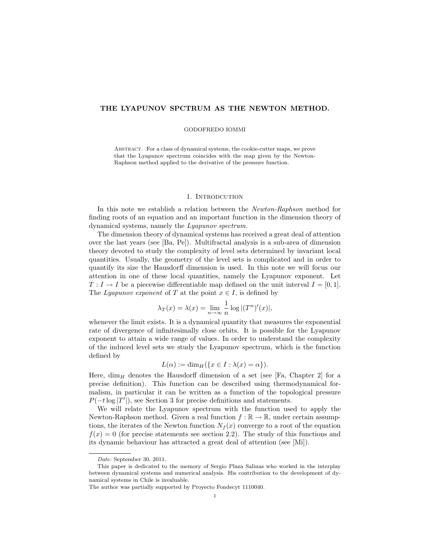# THE LYAPUNOV SPCTRUM AS THE NEWTON METHOD.

#### GODOFREDO IOMMI

Abstract. For a class of dynamical systems, the cookie-cutter maps, we prove that the Lyapunov spectrum coincides with the map given by the Newton-Raphson method applied to the derivative of the pressure function.

## 1. INTRODCUTION

In this note we establish a relation between the Newton-Raphson method for finding roots of an equation and an important function in the dimension theory of dynamical systems, namely the Lyapunov spectrum.

The dimension theory of dynamical systems has received a great deal of attention over the last years (see [Ba, Pe]). Multifractal analysis is a sub-area of dimension theory devoted to study the complexity of level sets determined by invariant local quantities. Usually, the geometry of the level sets is complicated and in order to quantify its size the Hausdorff dimension is used. In this note we will focus our attention in one of these local quantities, namely the Lyapunov exponent. Let  $T: I \to I$  be a piecewise differentiable map defined on the unit interval  $I = [0, 1]$ . The Lyapunov exponent of T at the point  $x \in I$ , is defined by

$$
\lambda_T(x) = \lambda(x) = \lim_{n \to \infty} \frac{1}{n} \log |(T^n)'(x)|,
$$

whenever the limit exists. It is a dynamical quantity that measures the exponential rate of divergence of infinitesimally close orbits. It is possible for the Lyapunov exponent to attain a wide range of values. In order to understand the complexity of the induced level sets we study the Lyapunov spectrum, which is the function defined by

$$
L(\alpha) := \dim_H(\{x \in I : \lambda(x) = \alpha\}).
$$

Here,  $\dim_H$  denotes the Hausdorff dimension of a set (see [Fa, Chapter 2] for a precise definition). This function can be described using thermodynamical formalism, in particular it can be written as a function of the topological pressure  $P(-t \log |T'|)$ , see Section 3 for precise definitions and statements.

We will relate the Lyapunov spectrum with the function used to apply the Newton-Raphson method. Given a real function  $f : \mathbb{R} \to \mathbb{R}$ , under certain assumptions, the iterates of the Newton function  $N_f(x)$  converge to a root of the equation  $f(x) = 0$  (for precise statements see section 2.2). The study of this functions and its dynamic behaviour has attracted a great deal of attention (see [Mi]).

Date: September 30, 2011.

This paper is dedicated to the memory of Sergio Plaza Salinas who worked in the interplay between dynamical systems and numerical analysis. His contribution to the development of dynamical systems in Chile is invaluable.

The author was partially supported by Proyecto Fondecyt 1110040.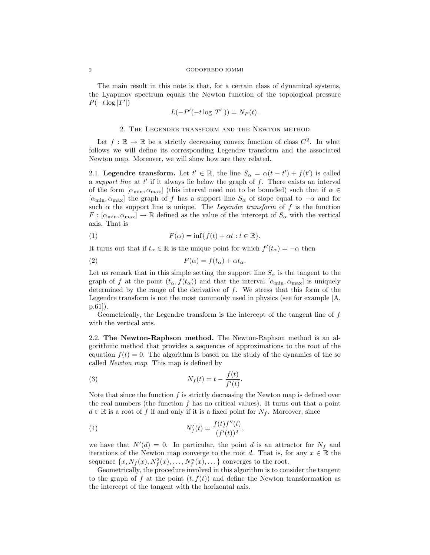#### 2 GODOFREDO IOMMI

The main result in this note is that, for a certain class of dynamical systems, the Lyapunov spectrum equals the Newton function of the topological pressure  $P(-t \log |T'|)$ 

$$
L(-P'(-t\log|T'|)) = N_P(t).
$$

### 2. The Legendre transform and the Newton method

Let  $f : \mathbb{R} \to \mathbb{R}$  be a strictly decreasing convex function of class  $C^2$ . In what follows we will define its corresponding Legendre transform and the associated Newton map. Moreover, we will show how are they related.

2.1. Legendre transform. Let  $t' \in \mathbb{R}$ , the line  $S_{\alpha} = \alpha(t - t') + f(t')$  is called a support line at  $t'$  if it always lie below the graph of  $f$ . There exists an interval of the form  $[\alpha_{\min}, \alpha_{\max}]$  (this interval need not to be bounded) such that if  $\alpha \in$  $[\alpha_{\min}, \alpha_{\max}]$  the graph of f has a support line  $S_{\alpha}$  of slope equal to  $-\alpha$  and for such  $\alpha$  the support line is unique. The *Legendre transform* of f is the function  $F : [\alpha_{\min}, \alpha_{\max}] \to \mathbb{R}$  defined as the value of the intercept of  $S_{\alpha}$  with the vertical axis. That is

(1) 
$$
F(\alpha) = \inf \{ f(t) + \alpha t : t \in \mathbb{R} \}.
$$

It turns out that if  $t_{\alpha} \in \mathbb{R}$  is the unique point for which  $f'(t_{\alpha}) = -\alpha$  then

(2) 
$$
F(\alpha) = f(t_{\alpha}) + \alpha t_{\alpha}.
$$

Let us remark that in this simple setting the support line  $S_{\alpha}$  is the tangent to the graph of f at the point  $(t_{\alpha}, f(t_{\alpha}))$  and that the interval  $[\alpha_{\min}, \alpha_{\max}]$  is uniquely determined by the range of the derivative of  $f$ . We stress that this form of the Legendre transform is not the most commonly used in physics (see for example [A, p.61]).

Geometrically, the Legendre transform is the intercept of the tangent line of f with the vertical axis.

2.2. The Newton-Raphson method. The Newton-Raphson method is an algorithmic method that provides a sequences of approximations to the root of the equation  $f(t) = 0$ . The algorithm is based on the study of the dynamics of the so called Newton map. This map is defined by

(3) 
$$
N_f(t) = t - \frac{f(t)}{f'(t)}.
$$

Note that since the function  $f$  is strictly decreasing the Newton map is defined over the real numbers (the function  $f$  has no critical values). It turns out that a point  $d \in \mathbb{R}$  is a root of f if and only if it is a fixed point for  $N_f$ . Moreover, since

(4) 
$$
N'_f(t) = \frac{f(t)f''(t)}{(f'(t))^2},
$$

we have that  $N'(d) = 0$ . In particular, the point d is an attractor for  $N_f$  and iterations of the Newton map converge to the root d. That is, for any  $x \in \mathbb{R}$  the sequence  $\{x, N_f(x), N_f^2(x), \ldots, N_f^n(x), \ldots\}$  converges to the root.

Geometrically, the procedure involved in this algorithm is to consider the tangent to the graph of f at the point  $(t, f(t))$  and define the Newton transformation as the intercept of the tangent with the horizontal axis.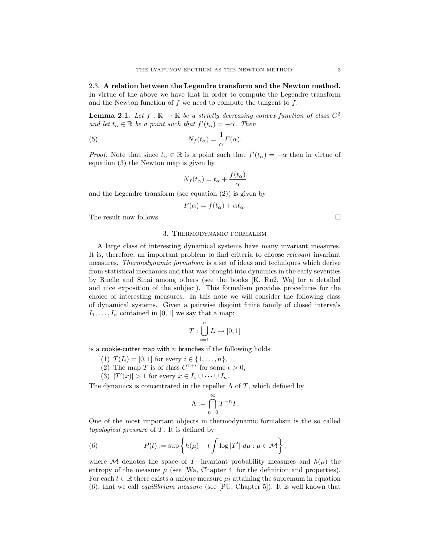2.3. A relation between the Legendre transform and the Newton method. In virtue of the above we have that in order to compute the Legendre transform and the Newton function of  $f$  we need to compute the tangent to  $f$ .

**Lemma 2.1.** Let  $f : \mathbb{R} \to \mathbb{R}$  be a strictly decreasing convex function of class  $C^2$ and let  $t_{\alpha} \in \mathbb{R}$  be a point such that  $f'(t_{\alpha}) = -\alpha$ . Then

(5) 
$$
N_f(t_\alpha) = \frac{1}{\alpha} F(\alpha).
$$

*Proof.* Note that since  $t_{\alpha} \in \mathbb{R}$  is a point such that  $f'(t_{\alpha}) = -\alpha$  then in virtue of equation (3) the Newton map is given by

$$
N_f(t_\alpha) = t_\alpha + \frac{f(t_\alpha)}{\alpha}
$$

and the Legendre transform (see equation (2)) is given by

$$
F(\alpha) = f(t_{\alpha}) + \alpha t_{\alpha}.
$$

The result now follows.  $\Box$ 

## 3. Thermodynamic formalism

A large class of interesting dynamical systems have many invariant measures. It is, therefore, an important problem to find criteria to choose relevant invariant measures. Thermodynamic formalism is a set of ideas and techniques which derive from statistical mechanics and that was brought into dynamics in the early seventies by Ruelle and Sinai among others (see the books [K, Ru2, Wa] for a detailed and nice exposition of the subject). This formalism provides procedures for the choice of interesting measures. In this note we will consider the following class of dynamical systems. Given a pairwise disjoint finite family of closed intervals  $I_1, \ldots, I_n$  contained in [0, 1] we say that a map:

$$
T:\bigcup_{i=1}^n I_i\to [0,1]
$$

is a cookie-cutter map with n branches if the following holds:

- (1)  $T(I_i) = [0, 1]$  for every  $i \in \{1, ..., n\},$
- (2) The map T is of class  $C^{1+\epsilon}$  for some  $\epsilon > 0$ ,
- (3)  $|T'(x)| > 1$  for every  $x \in I_1 \cup \cdots \cup I_n$ .

The dynamics is concentrated in the repeller  $\Lambda$  of T, which defined by

$$
\Lambda:=\bigcap_{n=0}^\infty T^{-n}I.
$$

One of the most important objects in thermodynamic formalism is the so called topological pressure of T. It is defined by

(6) 
$$
P(t) := \sup \left\{ h(\mu) - t \int \log |T'| \ d\mu : \mu \in \mathcal{M} \right\},
$$

where M denotes the space of T−invariant probability measures and  $h(\mu)$  the entropy of the measure  $\mu$  (see [Wa, Chapter 4] for the definition and properties). For each  $t \in \mathbb{R}$  there exists a unique measure  $\mu_t$  attaining the supremum in equation  $(6)$ , that we call *equilibrium measure* (see [PU, Chapter 5]). It is well known that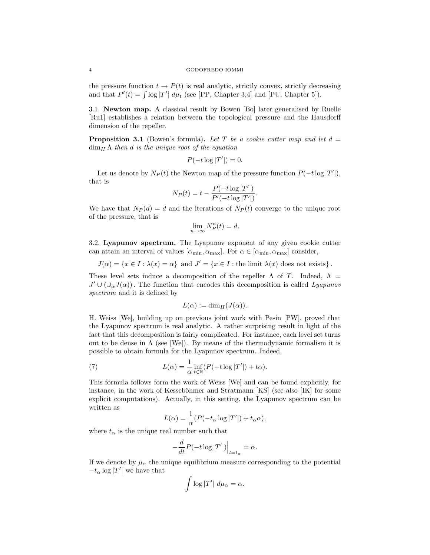#### 4 GODOFREDO IOMMI

the pressure function  $t \to P(t)$  is real analytic, strictly convex, strictly decreasing and that  $P'(t) = \int \log |T'| d\mu_t$  (see [PP, Chapter 3,4] and [PU, Chapter 5]).

3.1. Newton map. A classical result by Bowen [Bo] later generalised by Ruelle [Ru1] establishes a relation between the topological pressure and the Hausdorff dimension of the repeller.

**Proposition 3.1** (Bowen's formula). Let T be a cookie cutter map and let  $d =$  $\dim_H \Lambda$  then d is the unique root of the equation

$$
P(-t\log|T'|) = 0.
$$

Let us denote by  $N_P(t)$  the Newton map of the pressure function  $P(-t \log |T'|)$ , that is

$$
N_P(t) = t - \frac{P(-t \log |T'|)}{P'(-t \log |T'|)}.
$$

We have that  $N_P(d) = d$  and the iterations of  $N_P(t)$  converge to the unique root of the pressure, that is

$$
\lim_{n \to \infty} N_P^n(t) = d.
$$

3.2. Lyapunov spectrum. The Lyapunov exponent of any given cookie cutter can attain an interval of values  $[\alpha_{\min}, \alpha_{\max}]$ . For  $\alpha \in [\alpha_{\min}, \alpha_{\max}]$  consider,

 $J(\alpha) = \{x \in I : \lambda(x) = \alpha\}$  and  $J' = \{x \in I : \text{the limit } \lambda(x) \text{ does not exists}\}.$ 

These level sets induce a decomposition of the repeller  $\Lambda$  of T. Indeed,  $\Lambda$  =  $J' \cup (\cup_{\alpha} J(\alpha))$ . The function that encodes this decomposition is called Lyapunov spectrum and it is defined by

$$
L(\alpha) := \dim_H(J(\alpha)).
$$

H. Weiss [We], building up on previous joint work with Pesin [PW], proved that the Lyapunov spectrum is real analytic. A rather surprising result in light of the fact that this decomposition is fairly complicated. For instance, each level set turns out to be dense in  $\Lambda$  (see [We]). By means of the thermodynamic formalism it is possible to obtain formula for the Lyapunov spectrum. Indeed,

(7) 
$$
L(\alpha) = \frac{1}{\alpha} \inf_{t \in \mathbb{R}} (P(-t \log |T'|) + t\alpha).
$$

This formula follows form the work of Weiss [We] and can be found explicitly, for instance, in the work of Kesseböhmer and Stratmann  $[KS]$  (see also  $[IK]$  for some explicit computations). Actually, in this setting, the Lyapunov spectrum can be written as

$$
L(\alpha) = \frac{1}{\alpha} (P(-t_\alpha \log |T'|) + t_\alpha \alpha),
$$

where  $t_{\alpha}$  is the unique real number such that

$$
-\frac{d}{dt}P(-t\log|T'|)\Big|_{t=t_{\alpha}} = \alpha.
$$

If we denote by  $\mu_\alpha$  the unique equilibrium measure corresponding to the potential  $-t_{\alpha} \log |T'|$  we have that

$$
\int \log |T'| \ d\mu_{\alpha} = \alpha.
$$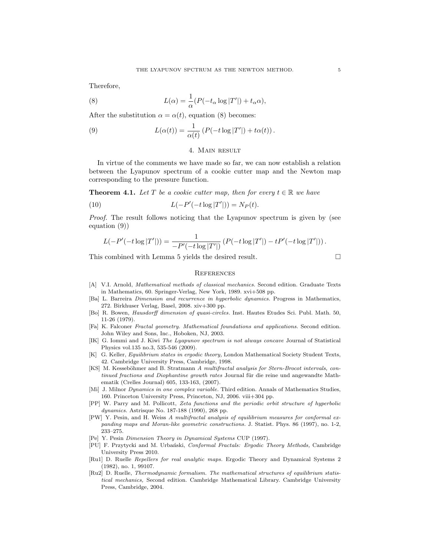Therefore,

(8) 
$$
L(\alpha) = \frac{1}{\alpha} (P(-t_{\alpha} \log |T'|) + t_{\alpha} \alpha),
$$

After the substitution  $\alpha = \alpha(t)$ , equation (8) becomes:

(9) 
$$
L(\alpha(t)) = \frac{1}{\alpha(t)} \left( P(-t \log |T'|) + t\alpha(t) \right).
$$

# 4. MAIN RESULT

In virtue of the comments we have made so far, we can now establish a relation between the Lyapunov spectrum of a cookie cutter map and the Newton map corresponding to the pressure function.

**Theorem 4.1.** Let T be a cookie cutter map, then for every  $t \in \mathbb{R}$  we have

(10) 
$$
L(-P'(-t\log|T'|)) = N_P(t).
$$

Proof. The result follows noticing that the Lyapunov spectrum is given by (see equation (9))

$$
L(-P'(-t\log |T'|)) = \frac{1}{-P'(-t\log |T'|)} (P(-t\log |T'|) - tP'(-t\log |T'|)).
$$

This combined with Lemma 5 yields the desired result.

### **REFERENCES**

- [A] V.I. Arnold, Mathematical methods of classical mechanics. Second edition. Graduate Texts in Mathematics, 60. Springer-Verlag, New York, 1989. xvi+508 pp.
- [Ba] L. Barreira Dimension and recurrence in hyperbolic dynamics. Progress in Mathematics, 272. Birkhuser Verlag, Basel, 2008. xiv+300 pp.
- [Bo] R. Bowen, Hausdorff dimension of quasi-circles. Inst. Hautes Etudes Sci. Publ. Math. 50, 11-26 (1979).
- [Fa] K. Falconer Fractal geometry. Mathematical foundations and applications. Second edition. John Wiley and Sons, Inc., Hoboken, NJ, 2003.
- [IK] G. Iommi and J. Kiwi The Lyapunov spectrum is not always concave Journal of Statistical Physics vol.135 no.3, 535-546 (2009).
- [K] G. Keller, Equilibrium states in ergodic theory, London Mathematical Society Student Texts, 42. Cambridge University Press, Cambridge, 1998.
- [KS] M. Kesseböhmer and B. Stratmann A multifractal analysis for Stern-Brocot intervals, continued fractions and Diophantine growth rates Journal für die reine und angewandte Mathematik (Crelles Journal) 605, 133-163, (2007).
- [Mi] J. Milnor Dynamics in one complex variable. Third edition. Annals of Mathematics Studies, 160. Princeton University Press, Princeton, NJ, 2006. viii+304 pp.
- [PP] W. Parry and M. Pollicott, Zeta functions and the periodic orbit structure of hyperbolic dynamics. Astrisque No. 187-188 (1990), 268 pp.
- [PW] Y. Pesin, and H. Weiss A multifractal analysis of equilibrium measures for conformal expanding maps and Moran-like geometric constructions. J. Statist. Phys. 86 (1997), no. 1-2, 233–275.
- [Pe] Y. Pesin Dimension Theory in Dynamical Systems CUP (1997).
- [PU] F. Przytycki and M. Urbański, Conformal Fractals: Ergodic Theory Methods, Cambridge University Press 2010.
- [Ru1] D. Ruelle Repellers for real analytic maps. Ergodic Theory and Dynamical Systems 2 (1982), no. 1, 99107.
- [Ru2] D. Ruelle, Thermodynamic formalism. The mathematical structures of equilibrium statistical mechanics, Second edition. Cambridge Mathematical Library. Cambridge University Press, Cambridge, 2004.